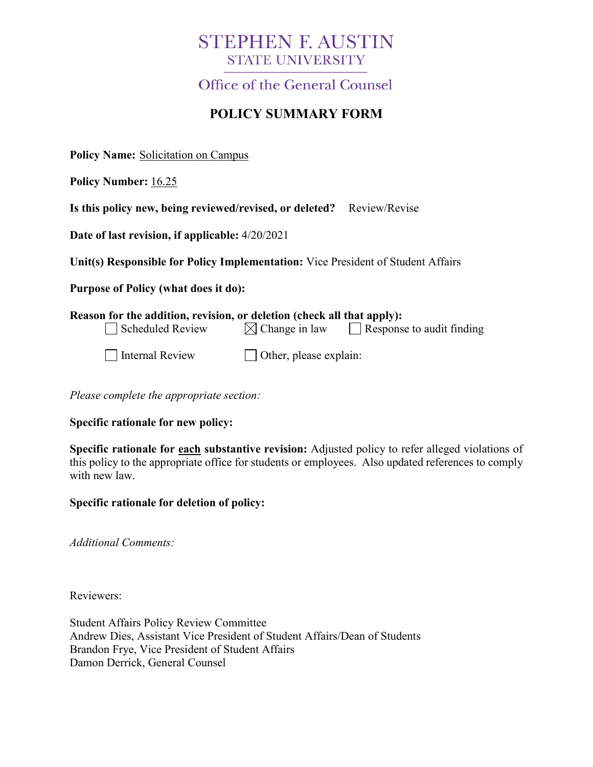# **STEPHEN F. AUSTIN STATE UNIVERSITY**

Office of the General Counsel

## **POLICY SUMMARY FORM**

**Policy Name:** Solicitation on Campus

**Policy Number:** 16.25

| Is this policy new, being reviewed/revised, or deleted? Review/Revise |  |  |  |  |
|-----------------------------------------------------------------------|--|--|--|--|
|-----------------------------------------------------------------------|--|--|--|--|

**Date of last revision, if applicable:** 4/20/2021

**Unit(s) Responsible for Policy Implementation:** Vice President of Student Affairs

**Purpose of Policy (what does it do):**

| Reason for the addition, revision, or deletion (check all that apply): |                               |                                  |  |  |  |
|------------------------------------------------------------------------|-------------------------------|----------------------------------|--|--|--|
| $\Box$ Scheduled Review                                                | $\boxtimes$ Change in law     | $\Box$ Response to audit finding |  |  |  |
| Internal Review                                                        | $\Box$ Other, please explain: |                                  |  |  |  |

*Please complete the appropriate section:*

**Specific rationale for new policy:**

**Specific rationale for each substantive revision:** Adjusted policy to refer alleged violations of this policy to the appropriate office for students or employees. Also updated references to comply with new law.

**Specific rationale for deletion of policy:**

*Additional Comments:*

Reviewers:

Student Affairs Policy Review Committee Andrew Dies, Assistant Vice President of Student Affairs/Dean of Students Brandon Frye, Vice President of Student Affairs Damon Derrick, General Counsel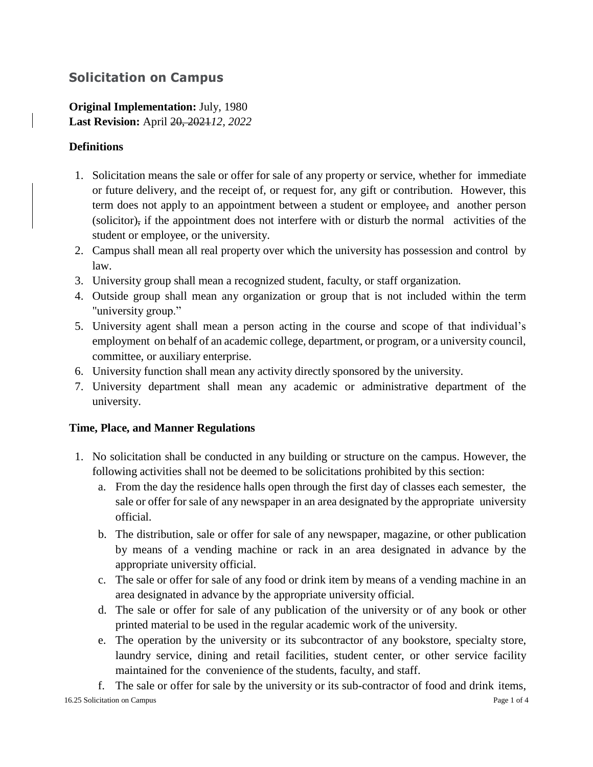### **Solicitation on Campus**

**Original Implementation:** July, 1980 **Last Revision:** April 20, 2021*12, 2022*

### **Definitions**

- 1. Solicitation means the sale or offer for sale of any property or service, whether for immediate or future delivery, and the receipt of*,* or request for*,* any gift or contribution. However, this term does not apply to an appointment between a student or employee, and another person (solicitor), if the appointment does not interfere with or disturb the normal activities of the student or employee, or the university.
- 2. Campus shall mean all real property over which the university has possession and control by law.
- 3. University group shall mean a recognized student, faculty, or staff organization.
- 4. Outside group shall mean any organization or group that is not included within the term "university group."
- 5. University agent shall mean a person acting in the course and scope of that individual's employment on behalf of an academic college, department, or program, or a university council, committee, or auxiliary enterprise.
- 6. University function shall mean any activity directly sponsored by the university.
- 7. University department shall mean any academic or administrative department of the university.

#### **Time, Place, and Manner Regulations**

- 1. No solicitation shall be conducted in any building or structure on the campus. However, the following activities shall not be deemed to be solicitations prohibited by this section:
	- a. From the day the residence halls open through the first day of classes each semester, the sale or offer for sale of any newspaper in an area designated by the appropriate university official.
	- b. The distribution, sale or offer for sale of any newspaper, magazine, or other publication by means of a vending machine or rack in an area designated in advance by the appropriate university official.
	- c. The sale or offer for sale of any food or drink item by means of a vending machine in an area designated in advance by the appropriate university official.
	- d. The sale or offer for sale of any publication of the university or of any book or other printed material to be used in the regular academic work of the university.
	- e. The operation by the university or its subcontractor of any bookstore, specialty store, laundry service, dining and retail facilities, student center, or other service facility maintained for the convenience of the students, faculty, and staff.

16.25 Solicitation on Campus Page 1 of 4 f. The sale or offer for sale by the university or its sub-contractor of food and drink items,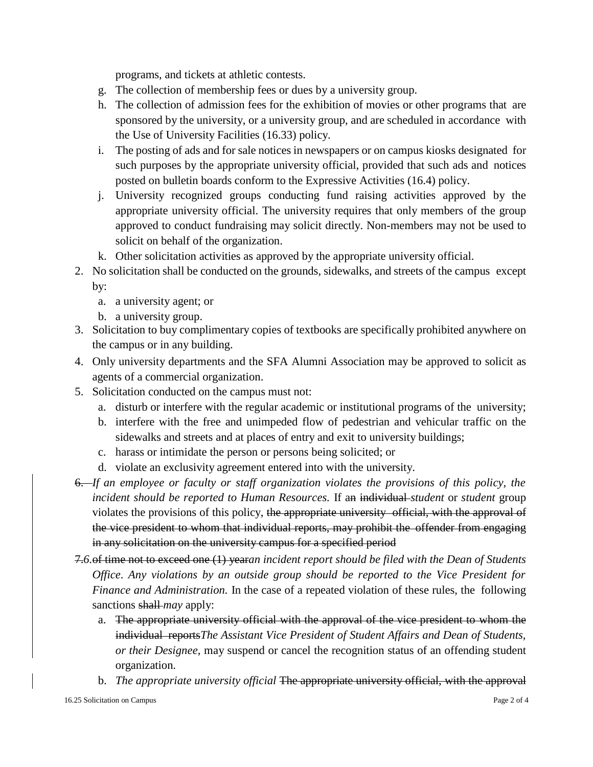programs, and tickets at athletic contests.

- g. The collection of membership fees or dues by a university group.
- h. The collection of admission fees for the exhibition of movies or other programs that are sponsored by the university, or a university group, and are scheduled in accordance with the Use of University Facilities (16.33) policy.
- i. The posting of ads and for sale notices in newspapers or on campus kiosks designated for such purposes by the appropriate university official, provided that such ads and notices posted on bulletin boards conform to the Expressive Activities (16.4) policy.
- j. University recognized groups conducting fund raising activities approved by the appropriate university official. The university requires that only members of the group approved to conduct fundraising may solicit directly. Non-members may not be used to solicit on behalf of the organization.
- k. Other solicitation activities as approved by the appropriate university official.
- 2. No solicitation shall be conducted on the grounds, sidewalks, and streets of the campus except by:
	- a. a university agent; or
	- b. a university group.
- 3. Solicitation to buy complimentary copies of textbooks are specifically prohibited anywhere on the campus or in any building.
- 4. Only university departments and the SFA Alumni Association may be approved to solicit as agents of a commercial organization.
- 5. Solicitation conducted on the campus must not:
	- a. disturb or interfere with the regular academic or institutional programs of the university;
	- b. interfere with the free and unimpeded flow of pedestrian and vehicular traffic on the sidewalks and streets and at places of entry and exit to university buildings;
	- c. harass or intimidate the person or persons being solicited; or
	- d. violate an exclusivity agreement entered into with the university.
- 6. *If an employee or faculty or staff organization violates the provisions of this policy, the incident should be reported to Human Resources.* If an individual *student* or *student* group violates the provisions of this policy, the appropriate university official, with the approval of the vice president to whom that individual reports, may prohibit the offender from engaging in any solicitation on the university campus for a specified period
- 7.*6.*of time not to exceed one (1) year*an incident report should be filed with the Dean of Students Office*. *Any violations by an outside group should be reported to the Vice President for Finance and Administration.* In the case of a repeated violation of these rules, the following sanctions shall *may* apply:
	- a. The appropriate university official with the approval of the vice president to whom the individual reports*The Assistant Vice President of Student Affairs and Dean of Students, or their Designee*, may suspend or cancel the recognition status of an offending student organization.
	- b. *The appropriate university official* The appropriate university official, with the approval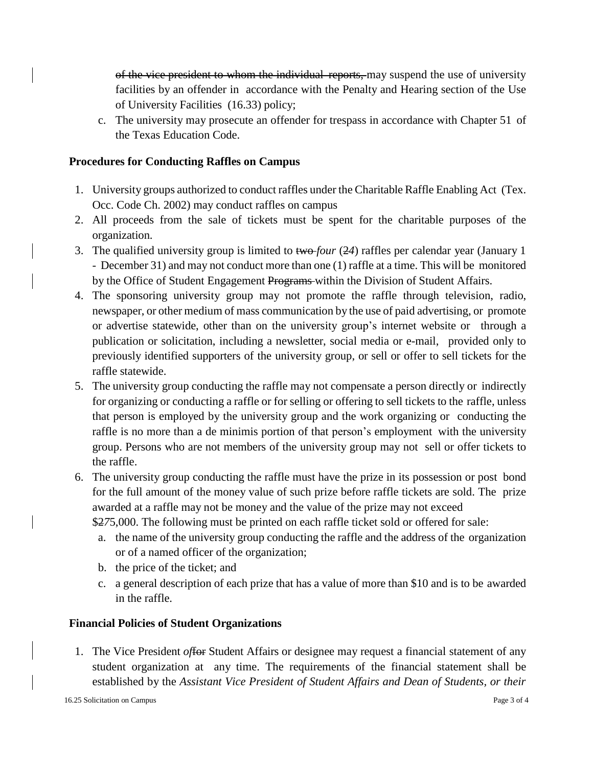of the vice president to whom the individual reports, may suspend the use of university facilities by an offender in accordance with the Penalty and Hearing section of the Use of University Facilities (16.33) policy;

c. The university may prosecute an offender for trespass in accordance with Chapter 51 of the Texas Education Code.

#### **Procedures for Conducting Raffles on Campus**

- 1. University groups authorized to conduct raffles under the Charitable Raffle Enabling Act (Tex. Occ. Code Ch. 2002) may conduct raffles on campus
- 2. All proceeds from the sale of tickets must be spent for the charitable purposes of the organization.
- 3. The qualified university group is limited to two *four* (2*4*) raffles per calendar year (January 1 - December 31) and may not conduct more than one (1) raffle at a time. This will be monitored by the Office of Student Engagement Programs within the Division of Student Affairs.
- 4. The sponsoring university group may not promote the raffle through television, radio, newspaper, or other medium of mass communication by the use of paid advertising, or promote or advertise statewide, other than on the university group's internet website or through a publication or solicitation, including a newsletter, social media or e-mail, provided only to previously identified supporters of the university group, or sell or offer to sell tickets for the raffle statewide.
- 5. The university group conducting the raffle may not compensate a person directly or indirectly for organizing or conducting a raffle or for selling or offering to sell tickets to the raffle, unless that person is employed by the university group and the work organizing or conducting the raffle is no more than a de minimis portion of that person's employment with the university group. Persons who are not members of the university group may not sell or offer tickets to the raffle.
- 6. The university group conducting the raffle must have the prize in its possession or post bond for the full amount of the money value of such prize before raffle tickets are sold. The prize awarded at a raffle may not be money and the value of the prize may not exceed

\$2*7*5,000. The following must be printed on each raffle ticket sold or offered for sale:

- a. the name of the university group conducting the raffle and the address of the organization or of a named officer of the organization;
- b. the price of the ticket; and
- c. a general description of each prize that has a value of more than \$10 and is to be awarded in the raffle.

#### **Financial Policies of Student Organizations**

1. The Vice President *of*for Student Affairs or designee may request a financial statement of any student organization at any time. The requirements of the financial statement shall be established by the *Assistant Vice President of Student Affairs and Dean of Students, or their*